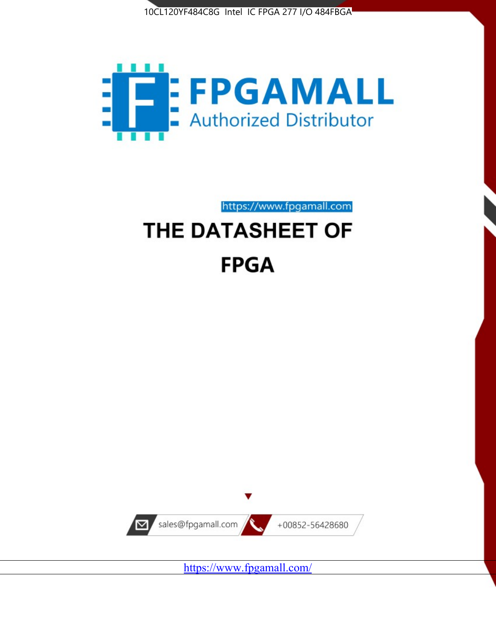



https://www.fpgamall.com

# THE DATASHEET OF **FPGA**



https://www.fpgamall.com/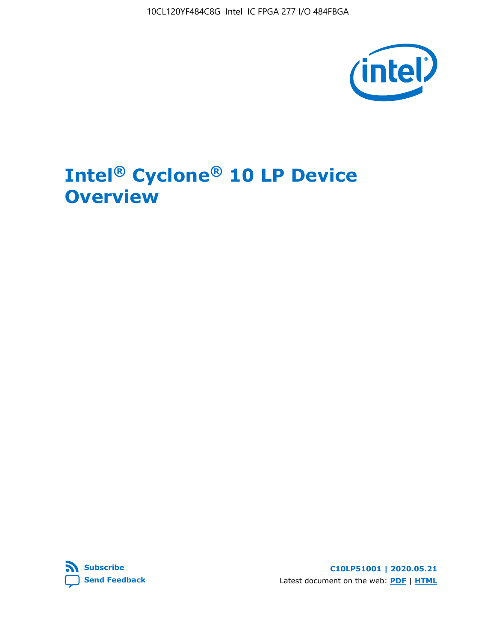10CL120YF484C8G Intel IC FPGA 277 I/O 484FBGA



# **Intel® Cyclone® 10 LP Device Overview**



**C10LP51001 | 2020.05.21** Latest document on the web: **[PDF](https://www.intel.com/content/dam/www/programmable/us/en/pdfs/literature/hb/cyclone-10/c10lp-51001.pdf)** | **[HTML](https://www.intel.com/content/www/us/en/programmable/documentation/hci1490246873896.html)**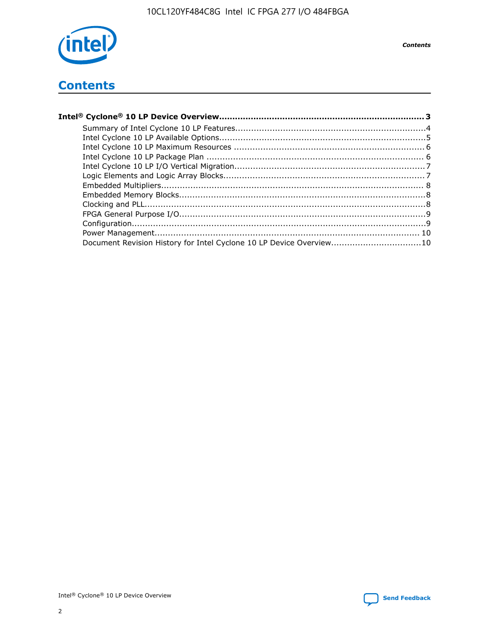

# **Contents**

| Document Revision History for Intel Cyclone 10 LP Device Overview10 |  |
|---------------------------------------------------------------------|--|
|                                                                     |  |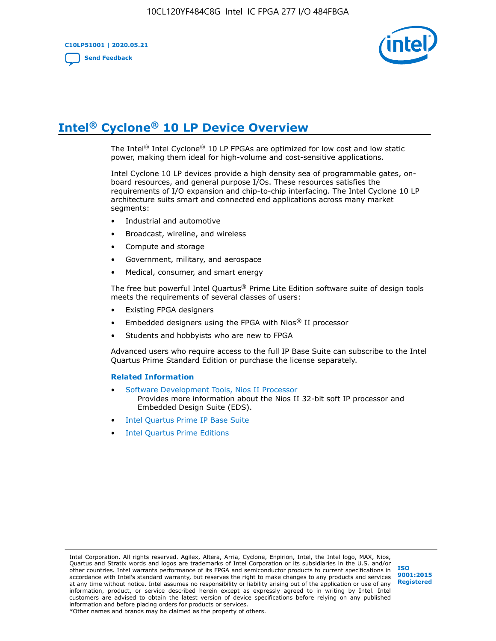

## **Intel® Cyclone® 10 LP Device Overview**

The Intel® Intel Cyclone® 10 LP FPGAs are optimized for low cost and low static power, making them ideal for high-volume and cost-sensitive applications.

Intel Cyclone 10 LP devices provide a high density sea of programmable gates, onboard resources, and general purpose I/Os. These resources satisfies the requirements of I/O expansion and chip-to-chip interfacing. The Intel Cyclone 10 LP architecture suits smart and connected end applications across many market segments:

- Industrial and automotive
- Broadcast, wireline, and wireless
- Compute and storage
- Government, military, and aerospace
- Medical, consumer, and smart energy

The free but powerful Intel Quartus® Prime Lite Edition software suite of design tools meets the requirements of several classes of users:

- Existing FPGA designers
- Embedded designers using the FPGA with Nios® II processor
- Students and hobbyists who are new to FPGA

Advanced users who require access to the full IP Base Suite can subscribe to the Intel Quartus Prime Standard Edition or purchase the license separately.

#### **Related Information**

- [Software Development Tools, Nios II Processor](https://www.altera.com/products/processors/design-tools.html) Provides more information about the Nios II 32-bit soft IP processor and Embedded Design Suite (EDS).
- [Intel Quartus Prime IP Base Suite](https://www.altera.com/products/intellectual-property/design/ip-base-suite.html)
- **[Intel Quartus Prime Editions](https://www.altera.com/products/design-software/fpga-design/quartus-prime/download.html)**

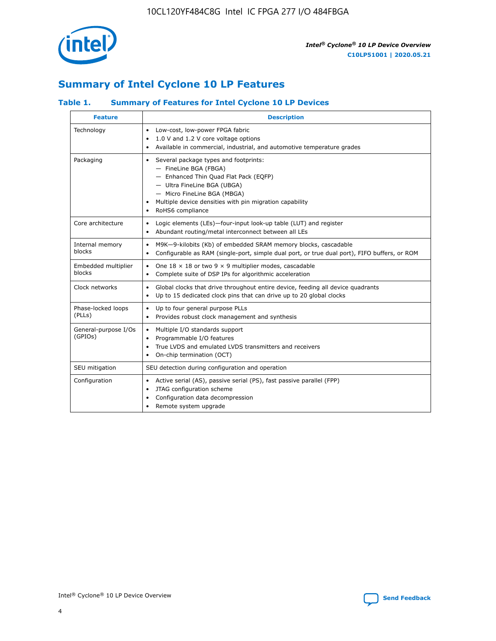

## **Summary of Intel Cyclone 10 LP Features**

## **Table 1. Summary of Features for Intel Cyclone 10 LP Devices**

| <b>Feature</b>                  | <b>Description</b>                                                                                                                                                                                                                                        |
|---------------------------------|-----------------------------------------------------------------------------------------------------------------------------------------------------------------------------------------------------------------------------------------------------------|
| Technology                      | Low-cost, low-power FPGA fabric<br>$\bullet$<br>1.0 V and 1.2 V core voltage options<br>Available in commercial, industrial, and automotive temperature grades                                                                                            |
| Packaging                       | Several package types and footprints:<br>٠<br>- FineLine BGA (FBGA)<br>- Enhanced Thin Quad Flat Pack (EQFP)<br>- Ultra FineLine BGA (UBGA)<br>- Micro FineLine BGA (MBGA)<br>Multiple device densities with pin migration capability<br>RoHS6 compliance |
| Core architecture               | Logic elements (LEs)-four-input look-up table (LUT) and register<br>٠<br>Abundant routing/metal interconnect between all LEs<br>٠                                                                                                                         |
| Internal memory<br>blocks       | M9K-9-kilobits (Kb) of embedded SRAM memory blocks, cascadable<br>$\bullet$<br>Configurable as RAM (single-port, simple dual port, or true dual port), FIFO buffers, or ROM<br>٠                                                                          |
| Embedded multiplier<br>blocks   | One $18 \times 18$ or two 9 $\times$ 9 multiplier modes, cascadable<br>$\bullet$<br>Complete suite of DSP IPs for algorithmic acceleration<br>$\bullet$                                                                                                   |
| Clock networks                  | Global clocks that drive throughout entire device, feeding all device quadrants<br>٠<br>Up to 15 dedicated clock pins that can drive up to 20 global clocks<br>$\bullet$                                                                                  |
| Phase-locked loops<br>(PLLs)    | Up to four general purpose PLLs<br>٠<br>Provides robust clock management and synthesis<br>$\bullet$                                                                                                                                                       |
| General-purpose I/Os<br>(GPIOs) | Multiple I/O standards support<br>$\bullet$<br>Programmable I/O features<br>$\bullet$<br>True LVDS and emulated LVDS transmitters and receivers<br>٠<br>On-chip termination (OCT)                                                                         |
| SEU mitigation                  | SEU detection during configuration and operation                                                                                                                                                                                                          |
| Configuration                   | Active serial (AS), passive serial (PS), fast passive parallel (FPP)<br>$\bullet$<br>JTAG configuration scheme<br>٠<br>Configuration data decompression<br>Remote system upgrade<br>٠                                                                     |

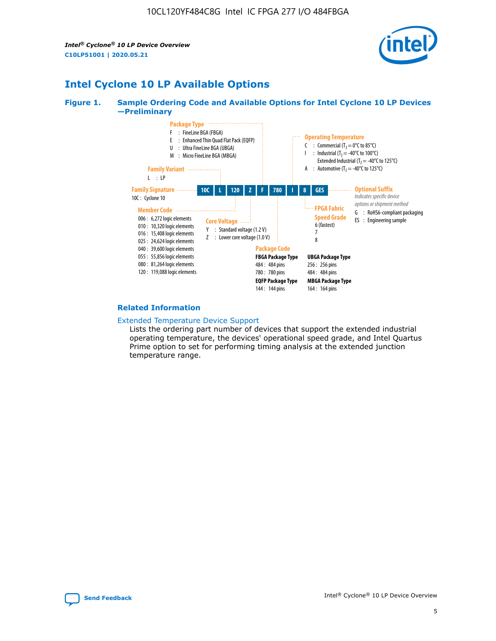*Intel® Cyclone® 10 LP Device Overview* **C10LP51001 | 2020.05.21**



## **Intel Cyclone 10 LP Available Options**

#### **Figure 1. Sample Ordering Code and Available Options for Intel Cyclone 10 LP Devices —Preliminary**



#### **Related Information**

#### [Extended Temperature Device Support](https://www.intel.com/content/www/us/en/products/programmable/temperature.html)

Lists the ordering part number of devices that support the extended industrial operating temperature, the devices' operational speed grade, and Intel Quartus Prime option to set for performing timing analysis at the extended junction temperature range.

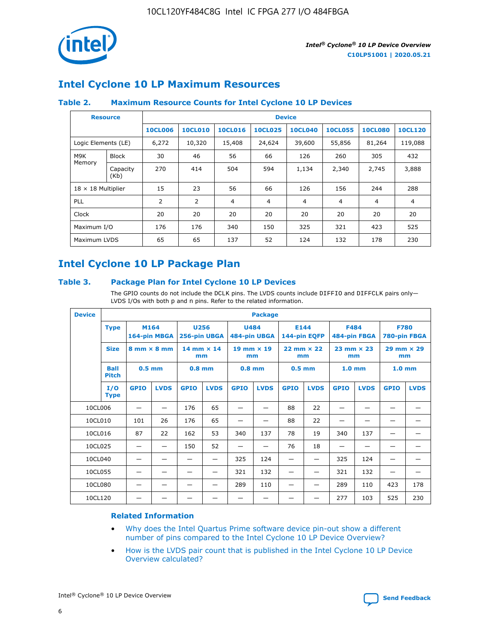

## **Intel Cyclone 10 LP Maximum Resources**

### **Table 2. Maximum Resource Counts for Intel Cyclone 10 LP Devices**

|                           | <b>Resource</b>  | <b>Device</b>  |                |                |                |                |                |                |                |
|---------------------------|------------------|----------------|----------------|----------------|----------------|----------------|----------------|----------------|----------------|
|                           |                  | <b>10CL006</b> | <b>10CL010</b> | <b>10CL016</b> | <b>10CL025</b> | <b>10CL040</b> | <b>10CL055</b> | <b>10CL080</b> | <b>10CL120</b> |
| Logic Elements (LE)       |                  | 6,272          | 10,320         | 15,408         | 24,624         | 39,600         | 55,856         | 81,264         | 119,088        |
| M9K                       | <b>Block</b>     | 30             | 46             | 56             | 66             | 126            | 260            | 305            | 432            |
| Memory                    | Capacity<br>(Kb) | 270            | 414            | 504            | 594            | 1,134          | 2,340          | 2,745          | 3,888          |
| $18 \times 18$ Multiplier |                  | 15             | 23             | 56             | 66             | 126            | 156            | 244            | 288            |
| <b>PLL</b>                |                  | 2              | $\overline{2}$ | 4              | 4              | $\overline{4}$ | 4              | 4              | 4              |
| Clock                     |                  | 20             | 20             | 20             | 20             | 20             | 20             | 20             | 20             |
| Maximum I/O               |                  | 176            | 176            | 340            | 150            | 325            | 321            | 423            | 525            |
| Maximum LVDS              |                  | 65             | 65             | 137            | 52             | 124            | 132            | 178            | 230            |

## **Intel Cyclone 10 LP Package Plan**

#### **Table 3. Package Plan for Intel Cyclone 10 LP Devices**

The GPIO counts do not include the DCLK pins. The LVDS counts include DIFFIO and DIFFCLK pairs only-LVDS I/Os with both p and n pins. Refer to the related information.

| <b>Device</b> | <b>Package</b>                                    |             |                                                        |             |                             |             |                           |             |                             |                   |                             |                   |             |
|---------------|---------------------------------------------------|-------------|--------------------------------------------------------|-------------|-----------------------------|-------------|---------------------------|-------------|-----------------------------|-------------------|-----------------------------|-------------------|-------------|
|               | M164<br><b>Type</b><br>164-pin MBGA               |             | 256-pin UBGA                                           | <b>U256</b> | <b>U484</b><br>484-pin UBGA |             | E144<br>144-pin EQFP      |             | <b>F484</b><br>484-pin FBGA |                   | <b>F780</b><br>780-pin FBGA |                   |             |
|               | <b>Size</b><br>$8 \text{ mm} \times 8 \text{ mm}$ |             | $14$ mm $\times$ 14<br>$19$ mm $\times$ 19<br>mm<br>mm |             | $22$ mm $\times$ 22<br>mm   |             | $23$ mm $\times$ 23<br>mm |             | $29$ mm $\times$ 29<br>mm   |                   |                             |                   |             |
|               | <b>Ball</b><br><b>Pitch</b>                       | $0.5$ mm    |                                                        | $0.8$ mm    |                             | $0.8$ mm    |                           | $0.5$ mm    |                             | 1.0 <sub>mm</sub> |                             | 1.0 <sub>mm</sub> |             |
|               | I/O<br><b>Type</b>                                | <b>GPIO</b> | <b>LVDS</b>                                            | <b>GPIO</b> | <b>LVDS</b>                 | <b>GPIO</b> | <b>LVDS</b>               | <b>GPIO</b> | <b>LVDS</b>                 | <b>GPIO</b>       | <b>LVDS</b>                 | <b>GPIO</b>       | <b>LVDS</b> |
| 10CL006       |                                                   |             |                                                        | 176         | 65                          |             |                           | 88          | 22                          |                   |                             |                   |             |
| 10CL010       |                                                   | 101         | 26                                                     | 176         | 65                          |             |                           | 88          | 22                          |                   |                             |                   |             |
| 10CL016       |                                                   | 87          | 22                                                     | 162         | 53                          | 340         | 137                       | 78          | 19                          | 340               | 137                         |                   |             |
| 10CL025       |                                                   | —           | —                                                      | 150         | 52                          | —           |                           | 76          | 18                          | -                 | —                           |                   |             |
| 10CL040       |                                                   |             |                                                        |             |                             | 325         | 124                       |             |                             | 325               | 124                         |                   |             |
| 10CL055       |                                                   |             |                                                        |             |                             | 321         | 132                       |             |                             | 321               | 132                         |                   |             |
| 10CL080       |                                                   |             |                                                        |             |                             | 289         | 110                       |             |                             | 289               | 110                         | 423               | 178         |
| 10CL120       |                                                   |             |                                                        |             |                             |             |                           |             |                             | 277               | 103                         | 525               | 230         |

### **Related Information**

- [Why does the Intel Quartus Prime software device pin-out show a different](https://www.intel.com/content/altera-www/global/en_us/index/support/support-resources/knowledge-base/component/2020/why-does-intel--quartus--device-pinout-pin-count-shows-a-differe0.html) [number of pins compared to the Intel Cyclone 10 LP Device Overview?](https://www.intel.com/content/altera-www/global/en_us/index/support/support-resources/knowledge-base/component/2020/why-does-intel--quartus--device-pinout-pin-count-shows-a-differe0.html)
- [How is the LVDS pair count that is published in the Intel Cyclone 10 LP Device](https://www.intel.com/content/altera-www/global/en_us/index/support/support-resources/knowledge-base/component/2020/how-is-the-lvds-pair-count-in-intel--cyclone--10-device-overview.html) [Overview calculated?](https://www.intel.com/content/altera-www/global/en_us/index/support/support-resources/knowledge-base/component/2020/how-is-the-lvds-pair-count-in-intel--cyclone--10-device-overview.html)



Intel<sup>®</sup> Cyclone<sup>®</sup> 10 LP Device Overview **[Send Feedback](mailto:FPGAtechdocfeedback@intel.com?subject=Feedback%20on%20Intel%20Cyclone%2010%20LP%20Device%20Overview%20(C10LP51001%202020.05.21)&body=We%20appreciate%20your%20feedback.%20In%20your%20comments,%20also%20specify%20the%20page%20number%20or%20paragraph.%20Thank%20you.)** Send Feedback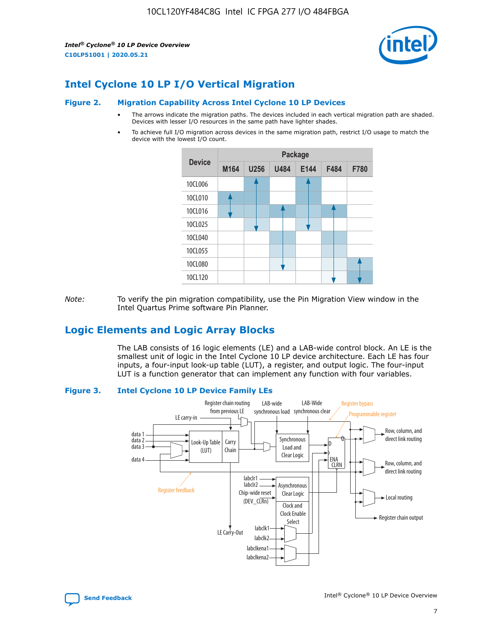*Intel® Cyclone® 10 LP Device Overview* **C10LP51001 | 2020.05.21**



## **Intel Cyclone 10 LP I/O Vertical Migration**

#### **Figure 2. Migration Capability Across Intel Cyclone 10 LP Devices**

- The arrows indicate the migration paths. The devices included in each vertical migration path are shaded. Devices with lesser I/O resources in the same path have lighter shades.
- To achieve full I/O migration across devices in the same migration path, restrict I/O usage to match the device with the lowest I/O count.



*Note:* To verify the pin migration compatibility, use the Pin Migration View window in the Intel Quartus Prime software Pin Planner.

## **Logic Elements and Logic Array Blocks**

The LAB consists of 16 logic elements (LE) and a LAB-wide control block. An LE is the smallest unit of logic in the Intel Cyclone 10 LP device architecture. Each LE has four inputs, a four-input look-up table (LUT), a register, and output logic. The four-input LUT is a function generator that can implement any function with four variables.

#### **Figure 3. Intel Cyclone 10 LP Device Family LEs**



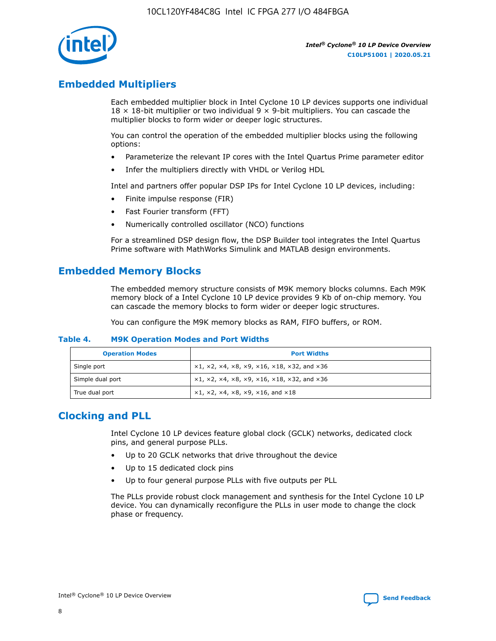

## **Embedded Multipliers**

Each embedded multiplier block in Intel Cyclone 10 LP devices supports one individual  $18 \times 18$ -bit multiplier or two individual 9  $\times$  9-bit multipliers. You can cascade the multiplier blocks to form wider or deeper logic structures.

You can control the operation of the embedded multiplier blocks using the following options:

- Parameterize the relevant IP cores with the Intel Quartus Prime parameter editor
- Infer the multipliers directly with VHDL or Verilog HDL

Intel and partners offer popular DSP IPs for Intel Cyclone 10 LP devices, including:

- Finite impulse response (FIR)
- Fast Fourier transform (FFT)
- Numerically controlled oscillator (NCO) functions

For a streamlined DSP design flow, the DSP Builder tool integrates the Intel Quartus Prime software with MathWorks Simulink and MATLAB design environments.

## **Embedded Memory Blocks**

The embedded memory structure consists of M9K memory blocks columns. Each M9K memory block of a Intel Cyclone 10 LP device provides 9 Kb of on-chip memory. You can cascade the memory blocks to form wider or deeper logic structures.

You can configure the M9K memory blocks as RAM, FIFO buffers, or ROM.

#### **Table 4. M9K Operation Modes and Port Widths**

| <b>Operation Modes</b> | <b>Port Widths</b>                           |
|------------------------|----------------------------------------------|
| Single port            | $x1, x2, x4, x8, x9, x16, x18, x32, and x36$ |
| Simple dual port       | $x1, x2, x4, x8, x9, x16, x18, x32, and x36$ |
| True dual port         | x1, x2, x4, x8, x9, x16, and x18             |

## **Clocking and PLL**

Intel Cyclone 10 LP devices feature global clock (GCLK) networks, dedicated clock pins, and general purpose PLLs.

- Up to 20 GCLK networks that drive throughout the device
- Up to 15 dedicated clock pins
- Up to four general purpose PLLs with five outputs per PLL

The PLLs provide robust clock management and synthesis for the Intel Cyclone 10 LP device. You can dynamically reconfigure the PLLs in user mode to change the clock phase or frequency.

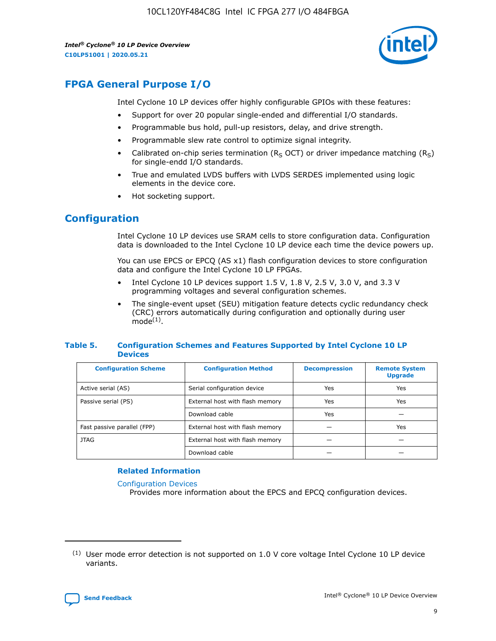10CL120YF484C8G Intel IC FPGA 277 I/O 484FBGA

*Intel® Cyclone® 10 LP Device Overview* **C10LP51001 | 2020.05.21**



## **FPGA General Purpose I/O**

Intel Cyclone 10 LP devices offer highly configurable GPIOs with these features:

- Support for over 20 popular single-ended and differential I/O standards.
- Programmable bus hold, pull-up resistors, delay, and drive strength.
- Programmable slew rate control to optimize signal integrity.
- Calibrated on-chip series termination ( $R<sub>S</sub>$  OCT) or driver impedance matching ( $R<sub>S</sub>$ ) for single-endd I/O standards.
- True and emulated LVDS buffers with LVDS SERDES implemented using logic elements in the device core.
- Hot socketing support.

## **Configuration**

Intel Cyclone 10 LP devices use SRAM cells to store configuration data. Configuration data is downloaded to the Intel Cyclone 10 LP device each time the device powers up.

You can use EPCS or EPCQ (AS x1) flash configuration devices to store configuration data and configure the Intel Cyclone 10 LP FPGAs.

- Intel Cyclone 10 LP devices support 1.5 V, 1.8 V, 2.5 V, 3.0 V, and 3.3 V programming voltages and several configuration schemes.
- The single-event upset (SEU) mitigation feature detects cyclic redundancy check (CRC) errors automatically during configuration and optionally during user  $mode<sup>(1)</sup>$ .

#### **Table 5. Configuration Schemes and Features Supported by Intel Cyclone 10 LP Devices**

| <b>Configuration Scheme</b> | <b>Configuration Method</b>     | <b>Decompression</b> | <b>Remote System</b><br><b>Upgrade</b> |  |
|-----------------------------|---------------------------------|----------------------|----------------------------------------|--|
| Active serial (AS)          | Serial configuration device     | Yes                  | Yes                                    |  |
| Passive serial (PS)         | External host with flash memory | Yes                  | Yes                                    |  |
|                             | Download cable                  | Yes                  |                                        |  |
| Fast passive parallel (FPP) | External host with flash memory |                      | Yes                                    |  |
| JTAG                        | External host with flash memory |                      |                                        |  |
|                             | Download cable                  |                      |                                        |  |

#### **Related Information**

[Configuration Devices](https://www.altera.com/products/configuration-devices/overview.html)

Provides more information about the EPCS and EPCQ configuration devices.

 $(1)$  User mode error detection is not supported on 1.0 V core voltage Intel Cyclone 10 LP device variants.

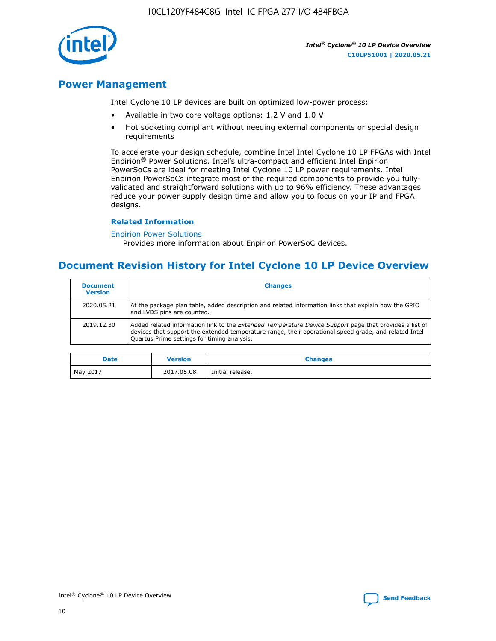10CL120YF484C8G Intel IC FPGA 277 I/O 484FBGA



*Intel® Cyclone® 10 LP Device Overview* **C10LP51001 | 2020.05.21**

## **Power Management**

Intel Cyclone 10 LP devices are built on optimized low-power process:

- Available in two core voltage options: 1.2 V and 1.0 V
- Hot socketing compliant without needing external components or special design requirements

To accelerate your design schedule, combine Intel Intel Cyclone 10 LP FPGAs with Intel Enpirion® Power Solutions. Intel's ultra-compact and efficient Intel Enpirion PowerSoCs are ideal for meeting Intel Cyclone 10 LP power requirements. Intel Enpirion PowerSoCs integrate most of the required components to provide you fullyvalidated and straightforward solutions with up to 96% efficiency. These advantages reduce your power supply design time and allow you to focus on your IP and FPGA designs.

#### **Related Information**

#### [Enpirion Power Solutions](https://www.altera.com/products/power/devices.html)

Provides more information about Enpirion PowerSoC devices.

## **Document Revision History for Intel Cyclone 10 LP Device Overview**

| <b>Document</b><br><b>Version</b> | <b>Changes</b>                                                                                                                                                                                                                                                        |
|-----------------------------------|-----------------------------------------------------------------------------------------------------------------------------------------------------------------------------------------------------------------------------------------------------------------------|
| 2020.05.21                        | At the package plan table, added description and related information links that explain how the GPIO<br>and LVDS pins are counted.                                                                                                                                    |
| 2019.12.30                        | Added related information link to the <i>Extended Temperature Device Support</i> page that provides a list of<br>devices that support the extended temperature range, their operational speed grade, and related Intel<br>Quartus Prime settings for timing analysis. |

| <b>Date</b> | <b>Version</b> | <b>Changes</b>   |
|-------------|----------------|------------------|
| May 2017    | 2017.05.08     | Initial release. |